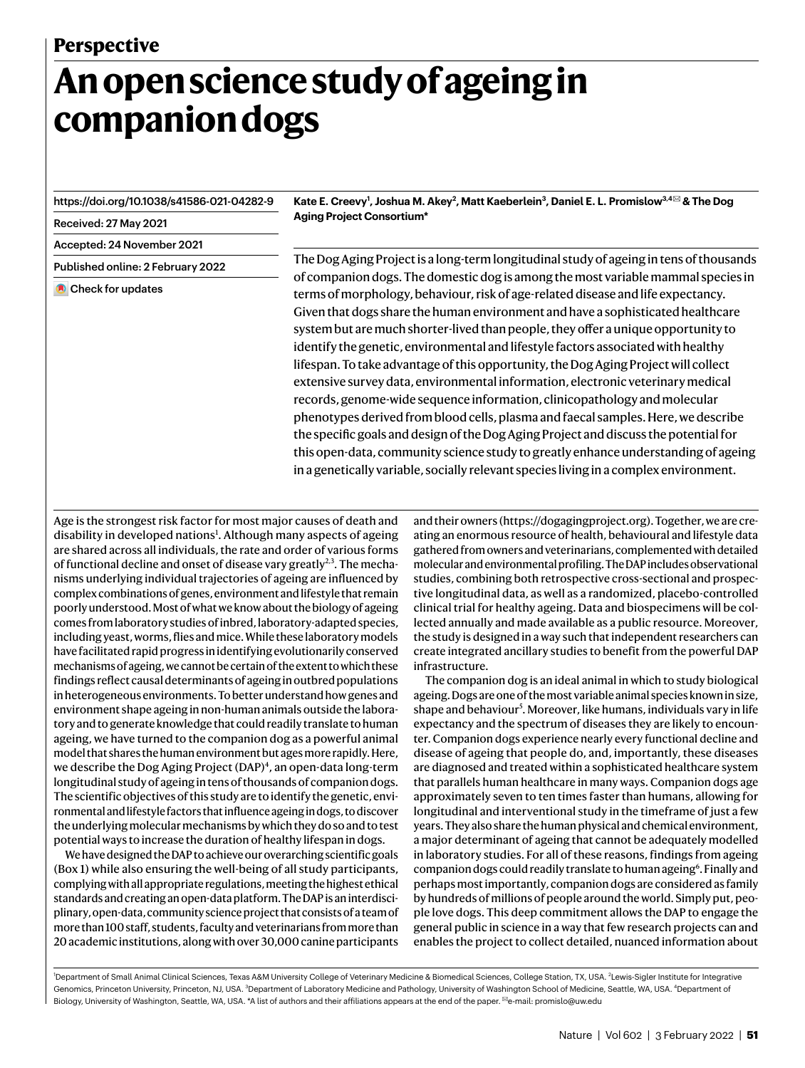# **An open science study of ageing in companion dogs**

<https://doi.org/10.1038/s41586-021-04282-9>

Received: 27 May 2021

Accepted: 24 November 2021

Published online: 2 February 2022

**Check for updates** 

**Kate E. Creevy<sup>1</sup> , Joshua M. Akey<sup>2</sup> , Matt Kaeberlein<sup>3</sup> , Daniel E. L. Promislow3,4** ✉ **& The Dog Aging Project Consortium\***

The Dog Aging Project is a long-term longitudinal study of ageing in tens of thousands of companion dogs. The domestic dog is among the most variable mammal species in terms of morphology, behaviour, risk of age-related disease and life expectancy. Given that dogs share the human environment and have a sophisticated healthcare system but are much shorter-lived than people, they offer a unique opportunity to identify the genetic, environmental and lifestyle factors associated with healthy lifespan. To take advantage of this opportunity, the Dog Aging Project will collect extensive survey data, environmental information, electronic veterinary medical records, genome-wide sequence information, clinicopathology and molecular phenotypes derived from blood cells, plasma and faecal samples. Here, we describe the specific goals and design of the Dog Aging Project and discuss the potential for this open-data, community science study to greatly enhance understanding of ageing in a genetically variable, socially relevant species living in a complex environment.

Age is the strongest risk factor for most major causes of death and disability in developed nations<sup>[1](#page-5-0)</sup>. Although many aspects of ageing are shared across all individuals, the rate and order of various forms of functional decline and onset of disease vary greatly<sup>[2](#page-5-1),[3](#page-5-2)</sup>. The mechanisms underlying individual trajectories of ageing are influenced by complex combinations of genes, environment and lifestyle that remain poorly understood. Most of what we know about the biology of ageing comes from laboratory studies of inbred, laboratory-adapted species, including yeast, worms, flies and mice. While these laboratory models have facilitated rapid progress in identifying evolutionarily conserved mechanisms of ageing, we cannot be certain of the extent to which these findings reflect causal determinants of ageing in outbred populations in heterogeneous environments. To better understand how genes and environment shape ageing in non-human animals outside the laboratory and to generate knowledge that could readily translate to human ageing, we have turned to the companion dog as a powerful animal model that shares the human environment but ages more rapidly. Here, we describe the Dog Aging Project (DAP)<sup>[4](#page-5-3)</sup>, an open-data long-term longitudinal study of ageing in tens of thousands of companion dogs. The scientific objectives of this study are to identify the genetic, environmental and lifestyle factors that influence ageing in dogs, to discover the underlying molecular mechanisms by which they do so and to test potential ways to increase the duration of healthy lifespan in dogs.

We have designed the DAP to achieve our overarching scientific goals (Box [1\)](#page-1-0) while also ensuring the well-being of all study participants, complying with all appropriate regulations, meeting the highest ethical standards and creating an open-data platform. The DAP is an interdisciplinary, open-data, community science project that consists of a team of more than 100 staff, students, faculty and veterinarians from more than 20 academic institutions, along with over 30,000 canine participants and their owners [\(https://dogagingproject.org\)](https://dogagingproject.org). Together, we are creating an enormous resource of health, behavioural and lifestyle data gathered from owners and veterinarians, complemented with detailed molecular and environmental profiling. The DAP includes observational studies, combining both retrospective cross-sectional and prospective longitudinal data, as well as a randomized, placebo-controlled clinical trial for healthy ageing. Data and biospecimens will be collected annually and made available as a public resource. Moreover, the study is designed in a way such that independent researchers can create integrated ancillary studies to benefit from the powerful DAP infrastructure.

The companion dog is an ideal animal in which to study biological ageing. Dogs are one of the most variable animal species known in size, shape and behaviour<sup>[5](#page-5-4)</sup>. Moreover, like humans, individuals vary in life expectancy and the spectrum of diseases they are likely to encounter. Companion dogs experience nearly every functional decline and disease of ageing that people do, and, importantly, these diseases are diagnosed and treated within a sophisticated healthcare system that parallels human healthcare in many ways. Companion dogs age approximately seven to ten times faster than humans, allowing for longitudinal and interventional study in the timeframe of just a few years. They also share the human physical and chemical environment, a major determinant of ageing that cannot be adequately modelled in laboratory studies. For all of these reasons, findings from ageing companion dogs could readily translate to human ageing<sup>[6](#page-5-5)</sup>. Finally and perhaps most importantly, companion dogs are considered as family by hundreds of millions of people around the world. Simply put, people love dogs. This deep commitment allows the DAP to engage the general public in science in a way that few research projects can and enables the project to collect detailed, nuanced information about

<sup>1</sup>Department of Small Animal Clinical Sciences, Texas A&M University College of Veterinary Medicine & Biomedical Sciences, College Station, TX, USA. <sup>2</sup>Lewis-Sigler Institute for Integrative Genomics, Princeton University, Princeton, NJ, USA. <sup>3</sup>Department of Laboratory Medicine and Pathology, University of Washington School of Medicine, Seattle, WA, USA. <sup>4</sup>Department of Biology, University of Washington, Seattle, WA, USA, \*A list of authors and their affiliations appears at the end of the paper. <sup>⊠</sup>e-mail: [promislo@uw.edu](mailto:promislo@uw.edu)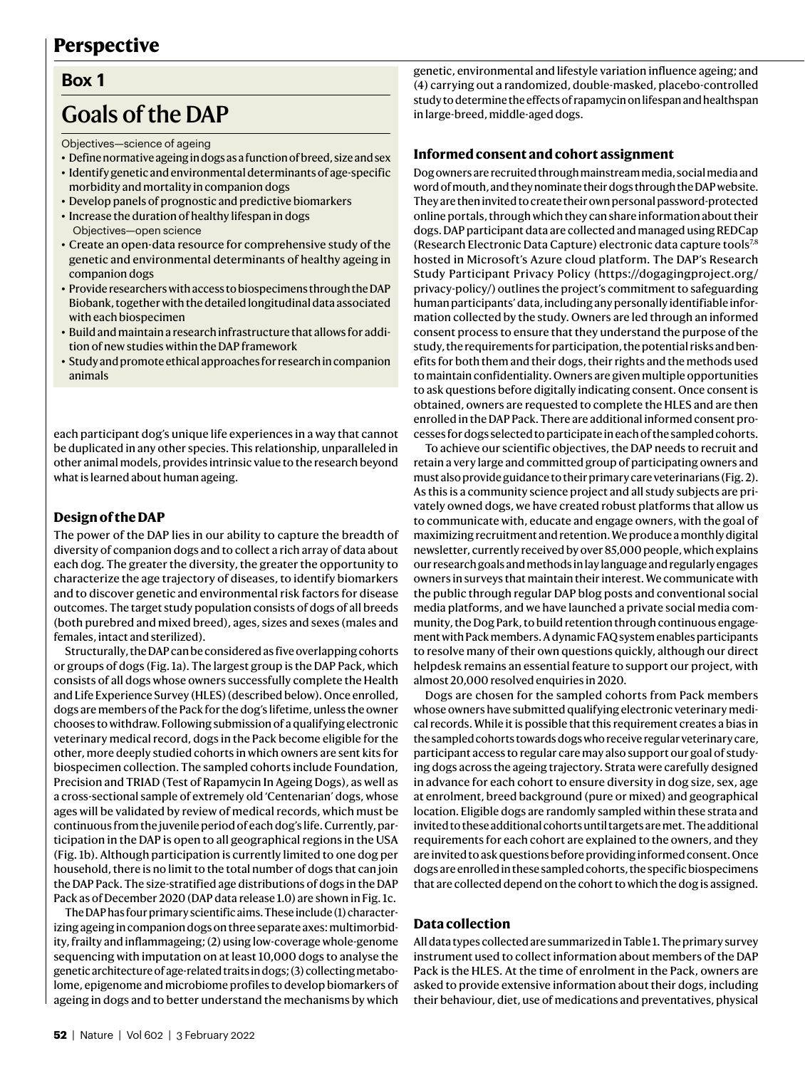## **Perspective**

## <span id="page-1-0"></span>**Box 1**

# Goals of the DAP

Objectives—science of ageing

- Define normative ageing in dogs as a function of breed, size and sex
- Identify genetic and environmental determinants of age-specific morbidity and mortality in companion dogs
- Develop panels of prognostic and predictive biomarkers
- Increase the duration of healthy lifespan in dogs Objectives—open science
- • Create an open-data resource for comprehensive study of the genetic and environmental determinants of healthy ageing in companion dogs
- Provide researchers with access to biospecimens through the DAP Biobank, together with the detailed longitudinal data associated with each biospecimen
- Build and maintain a research infrastructure that allows for addition of new studies within the DAP framework
- Study and promote ethical approaches for research in companion animals

each participant dog's unique life experiences in a way that cannot be duplicated in any other species. This relationship, unparalleled in other animal models, provides intrinsic value to the research beyond what is learned about human ageing.

#### **Design of the DAP**

The power of the DAP lies in our ability to capture the breadth of diversity of companion dogs and to collect a rich array of data about each dog. The greater the diversity, the greater the opportunity to characterize the age trajectory of diseases, to identify biomarkers and to discover genetic and environmental risk factors for disease outcomes. The target study population consists of dogs of all breeds (both purebred and mixed breed), ages, sizes and sexes (males and females, intact and sterilized).

Structurally, the DAP can be considered as five overlapping cohorts or groups of dogs (Fig. [1a\)](#page-2-0). The largest group is the DAP Pack, which consists of all dogs whose owners successfully complete the Health and Life Experience Survey (HLES) (described below). Once enrolled, dogs are members of the Pack for the dog's lifetime, unless the owner chooses to withdraw. Following submission of a qualifying electronic veterinary medical record, dogs in the Pack become eligible for the other, more deeply studied cohorts in which owners are sent kits for biospecimen collection. The sampled cohorts include Foundation, Precision and TRIAD (Test of Rapamycin In Ageing Dogs), as well as a cross-sectional sample of extremely old 'Centenarian' dogs, whose ages will be validated by review of medical records, which must be continuous from the juvenile period of each dog's life. Currently, participation in the DAP is open to all geographical regions in the USA (Fig. [1b](#page-2-0)). Although participation is currently limited to one dog per household, there is no limit to the total number of dogs that can join the DAP Pack. The size-stratified age distributions of dogs in the DAP Pack as of December 2020 (DAP data release 1.0) are shown in Fig. [1c.](#page-2-0)

The DAP has four primary scientific aims. These include (1) characterizing ageing in companion dogs on three separate axes: multimorbidity, frailty and inflammageing; (2) using low-coverage whole-genome sequencing with imputation on at least 10,000 dogs to analyse the genetic architecture of age-related traits in dogs; (3) collecting metabolome, epigenome and microbiome profiles to develop biomarkers of ageing in dogs and to better understand the mechanisms by which genetic, environmental and lifestyle variation influence ageing; and (4) carrying out a randomized, double-masked, placebo-controlled study to determine the effects of rapamycin on lifespan and healthspan in large-breed, middle-aged dogs.

#### **Informed consent and cohort assignment**

Dog owners are recruited through mainstream media, social media and word of mouth, and they nominate their dogs through the DAP website. They are then invited to create their own personal password-protected online portals, through which they can share information about their dogs. DAP participant data are collected and managed using REDCap (Research Electronic Data Capture) electronic data capture tools[7](#page-5-6)[,8](#page-5-7) hosted in Microsoft's Azure cloud platform. The DAP's Research Study Participant Privacy Policy ([https://dogagingproject.org/](https://dogagingproject.org/privacy-policy/) [privacy-policy/\)](https://dogagingproject.org/privacy-policy/) outlines the project's commitment to safeguarding human participants' data, including any personally identifiable information collected by the study. Owners are led through an informed consent process to ensure that they understand the purpose of the study, the requirements for participation, the potential risks and benefits for both them and their dogs, their rights and the methods used to maintain confidentiality. Owners are given multiple opportunities to ask questions before digitally indicating consent. Once consent is obtained, owners are requested to complete the HLES and are then enrolled in the DAP Pack. There are additional informed consent processes for dogs selected to participate in each of the sampled cohorts.

To achieve our scientific objectives, the DAP needs to recruit and retain a very large and committed group of participating owners and must also provide guidance to their primary care veterinarians (Fig. [2](#page-3-0)). As this is a community science project and all study subjects are privately owned dogs, we have created robust platforms that allow us to communicate with, educate and engage owners, with the goal of maximizing recruitment and retention. We produce a monthly digital newsletter, currently received by over 85,000 people, which explains our research goals and methods in lay language and regularly engages owners in surveys that maintain their interest. We communicate with the public through regular DAP blog posts and conventional social media platforms, and we have launched a private social media community, the Dog Park, to build retention through continuous engagement with Pack members. A dynamic FAQ system enables participants to resolve many of their own questions quickly, although our direct helpdesk remains an essential feature to support our project, with almost 20,000 resolved enquiries in 2020.

Dogs are chosen for the sampled cohorts from Pack members whose owners have submitted qualifying electronic veterinary medical records. While it is possible that this requirement creates a bias in the sampled cohorts towards dogs who receive regular veterinary care, participant access to regular care may also support our goal of studying dogs across the ageing trajectory. Strata were carefully designed in advance for each cohort to ensure diversity in dog size, sex, age at enrolment, breed background (pure or mixed) and geographical location. Eligible dogs are randomly sampled within these strata and invited to these additional cohorts until targets are met. The additional requirements for each cohort are explained to the owners, and they are invited to ask questions before providing informed consent. Once dogs are enrolled in these sampled cohorts, the specific biospecimens that are collected depend on the cohort to which the dog is assigned.

#### **Data collection**

All data types collected are summarized in Table [1](#page-3-1). The primary survey instrument used to collect information about members of the DAP Pack is the HLES. At the time of enrolment in the Pack, owners are asked to provide extensive information about their dogs, including their behaviour, diet, use of medications and preventatives, physical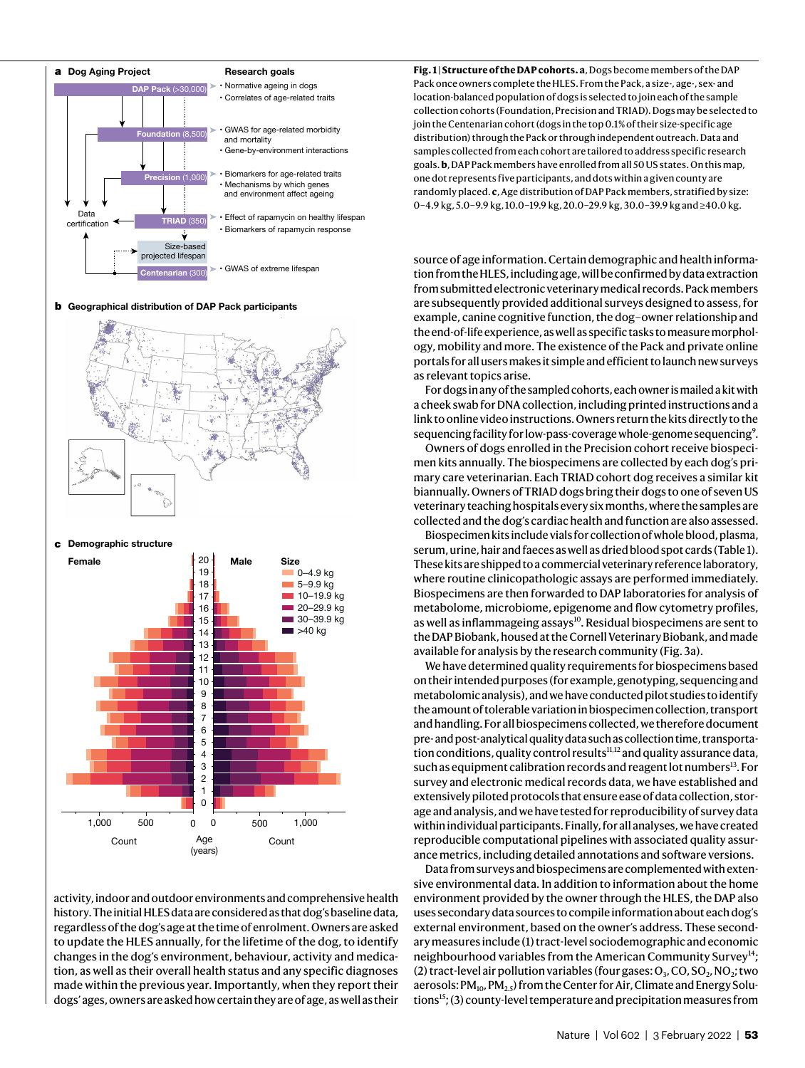

**b** Geographical distribution of DAP Pack participants



**c** Demographic structure



activity, indoor and outdoor environments and comprehensive health history. The initial HLES data are considered as that dog's baseline data, regardless of the dog's age at the time of enrolment. Owners are asked to update the HLES annually, for the lifetime of the dog, to identify changes in the dog's environment, behaviour, activity and medication, as well as their overall health status and any specific diagnoses made within the previous year. Importantly, when they report their dogs' ages, owners are asked how certain they are of age, as well as their <span id="page-2-0"></span>**Fig. 1 | Structure of the DAP cohorts. a**, Dogs become members of the DAP Pack once owners complete the HLES. From the Pack, a size-, age-, sex- and location-balanced population of dogs is selected to join each of the sample collection cohorts (Foundation, Precision and TRIAD). Dogs may be selected to join the Centenarian cohort (dogs in the top 0.1% of their size-specific age distribution) through the Pack or through independent outreach. Data and samples collected from each cohort are tailored to address specific research goals. **b**, DAP Pack members have enrolled from all 50 US states. On this map, one dot represents five participants, and dots within a given county are randomly placed. **c**, Age distribution of DAP Pack members, stratified by size: 0–4.9 kg, 5.0–9.9 kg, 10.0–19.9 kg, 20.0–29.9 kg, 30.0–39.9 kg and ≥40.0 kg.

source of age information. Certain demographic and health information from the HLES, including age, will be confirmed by data extraction from submitted electronic veterinary medical records. Pack members are subsequently provided additional surveys designed to assess, for example, canine cognitive function, the dog–owner relationship and the end-of-life experience, as well as specific tasks to measure morphology, mobility and more. The existence of the Pack and private online portals for all users makes it simple and efficient to launch new surveys as relevant topics arise.

For dogs in any of the sampled cohorts, each owner is mailed a kit with a cheek swab for DNA collection, including printed instructions and a link to online video instructions. Owners return the kits directly to the sequencing facility for low-pass-coverage whole-genome sequencing<sup>[9](#page-5-8)</sup>.

Owners of dogs enrolled in the Precision cohort receive biospecimen kits annually. The biospecimens are collected by each dog's primary care veterinarian. Each TRIAD cohort dog receives a similar kit biannually. Owners of TRIAD dogs bring their dogs to one of seven US veterinary teaching hospitals every six months, where the samples are collected and the dog's cardiac health and function are also assessed.

Biospecimen kits include vials for collection of whole blood, plasma, serum, urine, hair and faeces as well as dried blood spot cards (Table [1](#page-3-1)). These kits are shipped to a commercial veterinary reference laboratory, where routine clinicopathologic assays are performed immediately. Biospecimens are then forwarded to DAP laboratories for analysis of metabolome, microbiome, epigenome and flow cytometry profiles, as well as inflammageing assays<sup>[10](#page-5-9)</sup>. Residual biospecimens are sent to the DAP Biobank, housed at the Cornell Veterinary Biobank, and made available for analysis by the research community (Fig. [3a](#page-4-0)).

We have determined quality requirements for biospecimens based on their intended purposes (for example, genotyping, sequencing and metabolomic analysis), and we have conducted pilot studies to identify the amount of tolerable variation in biospecimen collection, transport and handling. For all biospecimens collected, we therefore document pre- and post-analytical quality data such as collection time, transportation conditions, quality control results $^{11,12}$  $^{11,12}$  $^{11,12}$  $^{11,12}$  $^{11,12}$  and quality assurance data, such as equipment calibration records and reagent lot numbers<sup>[13](#page-5-12)</sup>. For survey and electronic medical records data, we have established and extensively piloted protocols that ensure ease of data collection, storage and analysis, and we have tested for reproducibility of survey data within individual participants. Finally, for all analyses, we have created reproducible computational pipelines with associated quality assurance metrics, including detailed annotations and software versions.

Data from surveys and biospecimens are complemented with extensive environmental data. In addition to information about the home environment provided by the owner through the HLES, the DAP also uses secondary data sources to compile information about each dog's external environment, based on the owner's address. These secondary measures include (1) tract-level sociodemographic and economic neighbourhood variables from the American Community Survey<sup>[14](#page-5-13)</sup>; (2) tract-level air pollution variables (four gases:  $O_3$ , CO, SO<sub>2</sub>, NO<sub>2</sub>; two aerosols:  $PM_{10}$ ,  $PM_{2.5}$ ) from the Center for Air, Climate and Energy Solu-tions<sup>[15](#page-5-14)</sup>; (3) county-level temperature and precipitation measures from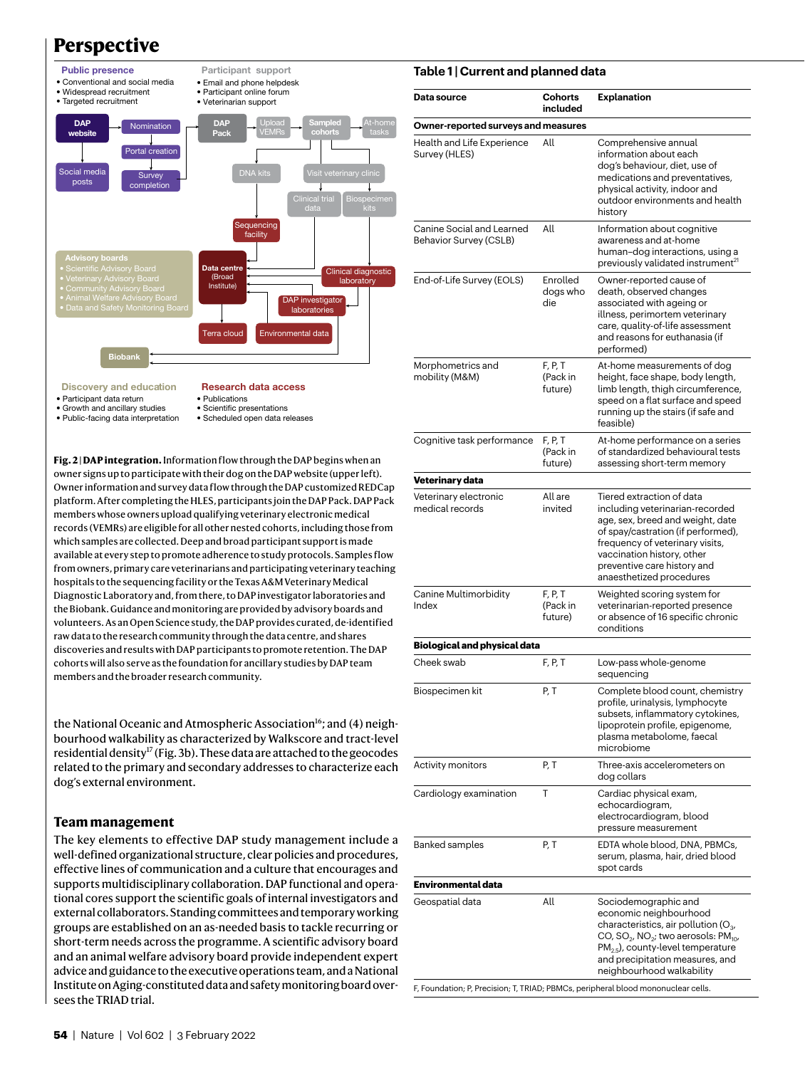# **Perspective**



- Discovery and education **Research data access**
- Participant data return
- Growth and ancillary studies
- Public-facing data interpretation
- Publications • Scientific presentations
- Scheduled open data releases

<span id="page-3-0"></span>**Fig. 2 | DAP integration.** Information flow through the DAP begins when an owner signs up to participate with their dog on the DAP website (upper left). Owner information and survey data flow through the DAP customized REDCap platform. After completing the HLES, participants join the DAP Pack. DAP Pack members whose owners upload qualifying veterinary electronic medical records (VEMRs) are eligible for all other nested cohorts, including those from which samples are collected. Deep and broad participant support is made available at every step to promote adherence to study protocols. Samples flow from owners, primary care veterinarians and participating veterinary teaching hospitals to the sequencing facility or the Texas A&M Veterinary Medical Diagnostic Laboratory and, from there, to DAP investigator laboratories and the Biobank. Guidance and monitoring are provided by advisory boards and volunteers. As an Open Science study, the DAP provides curated, de-identified raw data to the research community through the data centre, and shares discoveries and results with DAP participants to promote retention. The DAP cohorts will also serve as the foundation for ancillary studies by DAP team members and the broader research community.

the National Oceanic and Atmospheric Association<sup>[16](#page-5-15)</sup>; and (4) neighbourhood walkability as characterized by Walkscore and tract-level residential density<sup>[17](#page-5-16)</sup> (Fig. [3b](#page-4-0)). These data are attached to the geocodes related to the primary and secondary addresses to characterize each dog's external environment.

#### **Team management**

The key elements to effective DAP study management include a well-defined organizational structure, clear policies and procedures, effective lines of communication and a culture that encourages and supports multidisciplinary collaboration. DAP functional and operational cores support the scientific goals of internal investigators and external collaborators. Standing committees and temporary working groups are established on an as-needed basis to tackle recurring or short-term needs across the programme. A scientific advisory board and an animal welfare advisory board provide independent expert advice and guidance to the executive operations team, and a National Institute on Aging-constituted data and safety monitoring board oversees the TRIAD trial.

#### <span id="page-3-1"></span>**Table 1 | Current and planned data**

| Data source                                         | <b>Cohorts</b><br>included     | <b>Explanation</b>                                                                                                                                                                                                                                                           |
|-----------------------------------------------------|--------------------------------|------------------------------------------------------------------------------------------------------------------------------------------------------------------------------------------------------------------------------------------------------------------------------|
| Owner-reported surveys and measures                 |                                |                                                                                                                                                                                                                                                                              |
| Health and Life Experience<br>Survey (HLES)         | All                            | Comprehensive annual<br>information about each<br>dog's behaviour, diet, use of<br>medications and preventatives,<br>physical activity, indoor and<br>outdoor environments and health<br>history                                                                             |
| Canine Social and Learned<br>Behavior Survey (CSLB) | All                            | Information about cognitive<br>awareness and at-home<br>human-dog interactions, using a<br>previously validated instrument <sup>21</sup>                                                                                                                                     |
| End-of-Life Survey (EOLS)                           | Enrolled<br>dogs who<br>die    | Owner-reported cause of<br>death, observed changes<br>associated with ageing or<br>illness, perimortem veterinary<br>care, quality-of-life assessment<br>and reasons for euthanasia (if<br>performed)                                                                        |
| Morphometrics and<br>mobility (M&M)                 | F, P, T<br>(Pack in<br>future) | At-home measurements of dog<br>height, face shape, body length,<br>limb length, thigh circumference,<br>speed on a flat surface and speed<br>running up the stairs (if safe and<br>feasible)                                                                                 |
| Cognitive task performance                          | F, P, T<br>(Pack in<br>future) | At-home performance on a series<br>of standardized behavioural tests<br>assessing short-term memory                                                                                                                                                                          |
| Veterinary data                                     |                                |                                                                                                                                                                                                                                                                              |
| Veterinary electronic<br>medical records            | All are<br>invited             | Tiered extraction of data<br>including veterinarian-recorded<br>age, sex, breed and weight, date<br>of spay/castration (if performed),<br>frequency of veterinary visits,<br>vaccination history, other<br>preventive care history and<br>anaesthetized procedures           |
| Canine Multimorbidity<br>Index                      | F, P, T<br>(Pack in<br>future) | Weighted scoring system for<br>veterinarian-reported presence<br>or absence of 16 specific chronic<br>conditions                                                                                                                                                             |
| Biological and physical data                        |                                |                                                                                                                                                                                                                                                                              |
| Cheek swab                                          | F, P, T                        | Low-pass whole-genome<br>sequencing                                                                                                                                                                                                                                          |
| Biospecimen kit                                     | P, T                           | Complete blood count, chemistry<br>profile, urinalysis, lymphocyte<br>subsets, inflammatory cytokines,<br>lipoprotein profile, epigenome,<br>plasma metabolome, faecal<br>microbiome                                                                                         |
| Activity monitors                                   | P, T                           | Three-axis accelerometers on<br>dog collars                                                                                                                                                                                                                                  |
| Cardiology examination                              | Τ                              | Cardiac physical exam,<br>echocardiogram,<br>electrocardiogram, blood<br>pressure measurement                                                                                                                                                                                |
| <b>Banked samples</b>                               | P, T                           | EDTA whole blood, DNA, PBMCs,<br>serum, plasma, hair, dried blood<br>spot cards                                                                                                                                                                                              |
| Environmental data                                  |                                |                                                                                                                                                                                                                                                                              |
| Geospatial data                                     | All                            | Sociodemographic and<br>economic neighbourhood<br>characteristics, air pollution ( $O_3$ ,<br>CO, SO <sub>2</sub> , NO <sub>2</sub> ; two aerosols: PM <sub>10</sub> ,<br>$PM2.5$ , county-level temperature<br>and precipitation measures, and<br>neighbourhood walkability |

F, Foundation; P, Precision; T, TRIAD; PBMCs, peripheral blood mononuclear cells.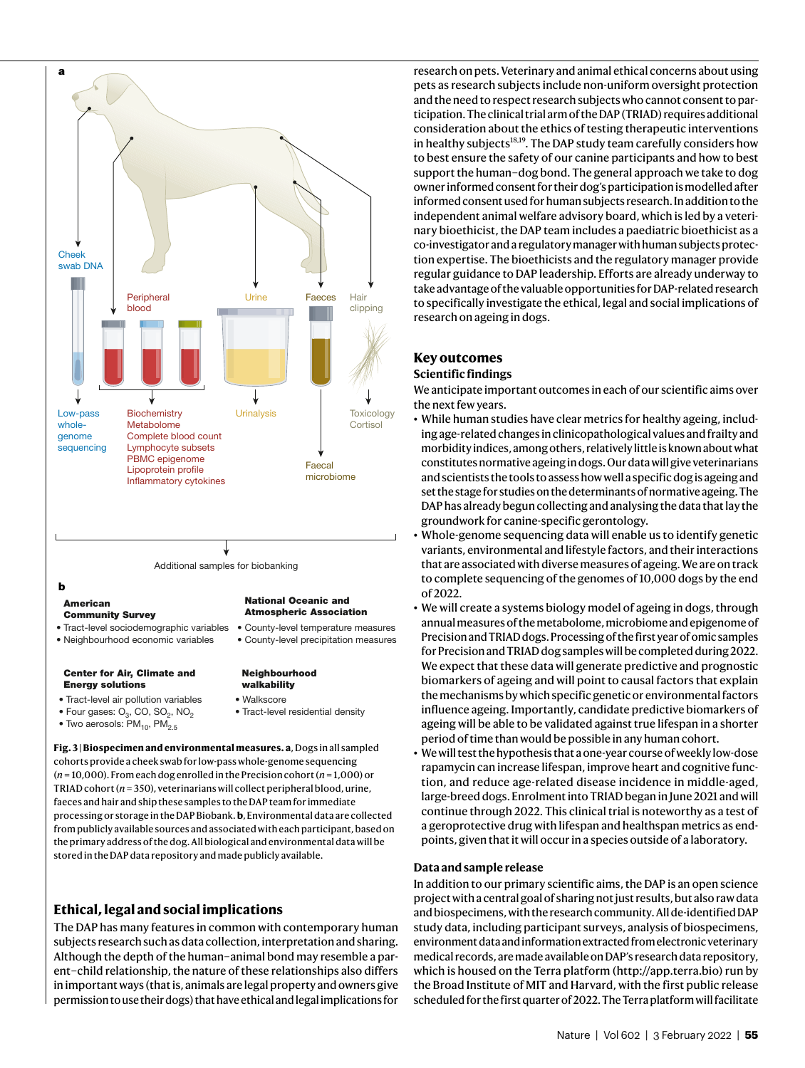

• Two aerosols:  $PM_{10}$ ,  $PM_{2.5}$ 

<span id="page-4-0"></span>**Fig. 3 | Biospecimen and environmental measures. a**, Dogs in all sampled cohorts provide a cheek swab for low-pass whole-genome sequencing (*n* = 10,000). From each dog enrolled in the Precision cohort (*n* = 1,000) or TRIAD cohort (*n* = 350), veterinarians will collect peripheral blood, urine, faeces and hair and ship these samples to the DAP team for immediate processing or storage in the DAP Biobank. **b**, Environmental data are collected from publicly available sources and associated with each participant, based on the primary address of the dog. All biological and environmental data will be stored in the DAP data repository and made publicly available.

## **Ethical, legal and social implications**

The DAP has many features in common with contemporary human subjects research such as data collection, interpretation and sharing. Although the depth of the human–animal bond may resemble a parent–child relationship, the nature of these relationships also differs in important ways (that is, animals are legal property and owners give permission to use their dogs) that have ethical and legal implications for

research on pets. Veterinary and animal ethical concerns about using pets as research subjects include non-uniform oversight protection and the need to respect research subjects who cannot consent to participation. The clinical trial arm of the DAP (TRIAD) requires additional consideration about the ethics of testing therapeutic interventions in healthy subjects<sup>[18,](#page-5-18)[19](#page-5-19)</sup>. The DAP study team carefully considers how to best ensure the safety of our canine participants and how to best support the human–dog bond. The general approach we take to dog owner informed consent for their dog's participation is modelled after informed consent used for human subjects research. In addition to the independent animal welfare advisory board, which is led by a veterinary bioethicist, the DAP team includes a paediatric bioethicist as a co-investigator and a regulatory manager with human subjects protection expertise. The bioethicists and the regulatory manager provide regular guidance to DAP leadership. Efforts are already underway to take advantage of the valuable opportunities for DAP-related research to specifically investigate the ethical, legal and social implications of research on ageing in dogs.

## **Key outcomes**

#### **Scientific findings**

We anticipate important outcomes in each of our scientific aims over the next few years.

- While human studies have clear metrics for healthy ageing, including age-related changes in clinicopathological values and frailty and morbidity indices, among others, relatively little is known about what constitutes normative ageing in dogs. Our data will give veterinarians and scientists the tools to assess how well a specific dog is ageing and set the stage for studies on the determinants of normative ageing. The DAP has already begun collecting and analysing the data that lay the groundwork for canine-specific gerontology.
- • Whole-genome sequencing data will enable us to identify genetic variants, environmental and lifestyle factors, and their interactions that are associated with diverse measures of ageing. We are on track to complete sequencing of the genomes of 10,000 dogs by the end of 2022.
- We will create a systems biology model of ageing in dogs, through annual measures of the metabolome, microbiome and epigenome of Precision and TRIAD dogs. Processing of the first year of omic samples for Precision and TRIAD dog samples will be completed during 2022. We expect that these data will generate predictive and prognostic biomarkers of ageing and will point to causal factors that explain the mechanisms by which specific genetic or environmental factors influence ageing. Importantly, candidate predictive biomarkers of ageing will be able to be validated against true lifespan in a shorter period of time than would be possible in any human cohort.
- • We will test the hypothesis that a one-year course of weekly low-dose rapamycin can increase lifespan, improve heart and cognitive function, and reduce age-related disease incidence in middle-aged, large-breed dogs. Enrolment into TRIAD began in June 2021 and will continue through 2022. This clinical trial is noteworthy as a test of a geroprotective drug with lifespan and healthspan metrics as endpoints, given that it will occur in a species outside of a laboratory.

#### **Data and sample release**

In addition to our primary scientific aims, the DAP is an open science project with a central goal of sharing not just results, but also raw data and biospecimens, with the research community. All de-identified DAP study data, including participant surveys, analysis of biospecimens, environment data and information extracted from electronic veterinary medical records, are made available on DAP's research data repository, which is housed on the Terra platform [\(http://app.terra.bio\)](http://app.terra.bio) run by the Broad Institute of MIT and Harvard, with the first public release scheduled for the first quarter of 2022. The Terra platform will facilitate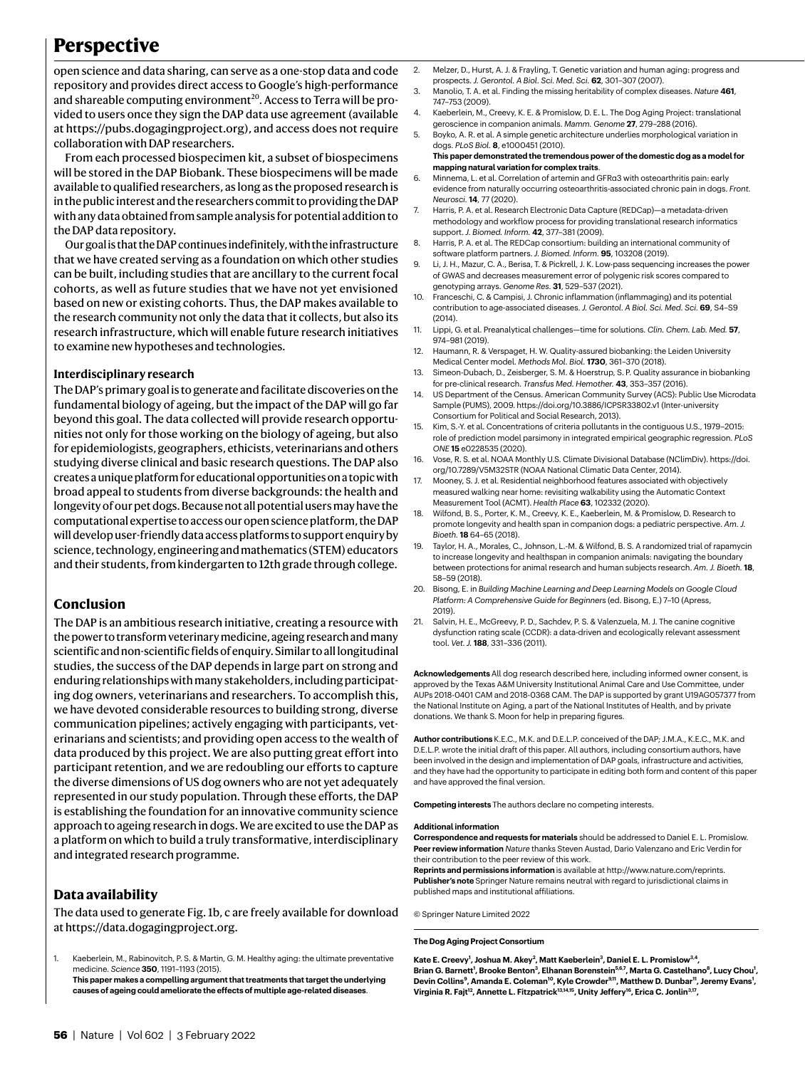## **Perspective**

open science and data sharing, can serve as a one-stop data and code repository and provides direct access to Google's high-performance and shareable computing environment<sup>[20](#page-5-20)</sup>. Access to Terra will be provided to users once they sign the DAP data use agreement (available at [https://pubs.dogagingproject.org\)](https://pubs.dogagingproject.org), and access does not require collaboration with DAP researchers.

From each processed biospecimen kit, a subset of biospecimens will be stored in the DAP Biobank. These biospecimens will be made available to qualified researchers, as long as the proposed research is in the public interest and the researchers commit to providing the DAP with any data obtained from sample analysis for potential addition to the DAP data repository.

Our goal is that the DAP continues indefinitely, with the infrastructure that we have created serving as a foundation on which other studies can be built, including studies that are ancillary to the current focal cohorts, as well as future studies that we have not yet envisioned based on new or existing cohorts. Thus, the DAP makes available to the research community not only the data that it collects, but also its research infrastructure, which will enable future research initiatives to examine new hypotheses and technologies.

#### **Interdisciplinary research**

The DAP's primary goal is to generate and facilitate discoveries on the fundamental biology of ageing, but the impact of the DAP will go far beyond this goal. The data collected will provide research opportunities not only for those working on the biology of ageing, but also for epidemiologists, geographers, ethicists, veterinarians and others studying diverse clinical and basic research questions. The DAP also creates a unique platform for educational opportunities on a topic with broad appeal to students from diverse backgrounds: the health and longevity of our pet dogs. Because not all potential users may have the computational expertise to access our open science platform, the DAP will develop user-friendly data access platforms to support enquiry by science, technology, engineering and mathematics (STEM) educators and their students, from kindergarten to 12th grade through college.

#### **Conclusion**

The DAP is an ambitious research initiative, creating a resource with the power to transform veterinary medicine, ageing research and many scientific and non-scientific fields of enquiry. Similar to all longitudinal studies, the success of the DAP depends in large part on strong and enduring relationships with many stakeholders, including participating dog owners, veterinarians and researchers. To accomplish this, we have devoted considerable resources to building strong, diverse communication pipelines; actively engaging with participants, veterinarians and scientists; and providing open access to the wealth of data produced by this project. We are also putting great effort into participant retention, and we are redoubling our efforts to capture the diverse dimensions of US dog owners who are not yet adequately represented in our study population. Through these efforts, the DAP is establishing the foundation for an innovative community science approach to ageing research in dogs. We are excited to use the DAP as a platform on which to build a truly transformative, interdisciplinary and integrated research programme.

#### **Data availability**

The data used to generate Fig. [1b, c](#page-2-0) are freely available for download at [https://data.dogagingproject.org.](https://data.dogagingproject.org)

<span id="page-5-0"></span>1. Kaeberlein, M., Rabinovitch, P. S. & Martin, G. M. Healthy aging: the ultimate preventative medicine. *Science* **350**, 1191–1193 (2015). **This paper makes a compelling argument that treatments that target the underlying causes of ageing could ameliorate the effects of multiple age-related diseases**.

- <span id="page-5-1"></span>2. Melzer, D., Hurst, A. J. & Frayling, T. Genetic variation and human aging: progress and prospects. *J. Gerontol. A Biol. Sci. Med. Sci.* **62**, 301–307 (2007).
- <span id="page-5-2"></span>3. Manolio, T. A. et al. Finding the missing heritability of complex diseases. *Nature* **461**, 747–753 (2009).
- <span id="page-5-3"></span>4. Kaeberlein, M., Creevy, K. E. & Promislow, D. E. L. The Dog Aging Project: translational geroscience in companion animals. *Mamm. Genome* **27**, 279–288 (2016).
- <span id="page-5-4"></span>5. Boyko, A. R. et al. A simple genetic architecture underlies morphological variation in dogs. *PLoS Biol.* **8**, e1000451 (2010). **This paper demonstrated the tremendous power of the domestic dog as a model for**
- **mapping natural variation for complex traits**. 6. Minnema, L. et al. Correlation of artemin and GFRα3 with osteoarthritis pain: early
- <span id="page-5-5"></span>evidence from naturally occurring osteoarthritis-associated chronic pain in dogs. *Front. Neurosci.* **14**, 77 (2020).
- <span id="page-5-6"></span>7. Harris, P. A. et al. Research Electronic Data Capture (REDCap)—a metadata-driven methodology and workflow process for providing translational research informatics support. *J. Biomed. Inform.* **42**, 377–381 (2009).
- <span id="page-5-7"></span>8. Harris, P. A. et al. The REDCap consortium: building an international community of software platform partners. *J. Biomed. Inform.* **95**, 103208 (2019).
- <span id="page-5-8"></span>Li, J. H., Mazur, C. A., Berisa, T. & Pickrell, J. K. Low-pass sequencing increases the power of GWAS and decreases measurement error of polygenic risk scores compared to genotyping arrays. *Genome Res.* **31**, 529–537 (2021).
- <span id="page-5-9"></span>10. Franceschi, C. & Campisi, J. Chronic inflammation (inflammaging) and its potential contribution to age-associated diseases. *J. Gerontol. A Biol. Sci. Med. Sci.* **69**, S4–S9 (2014).
- <span id="page-5-10"></span>11. Lippi, G. et al. Preanalytical challenges—time for solutions. *Clin. Chem. Lab. Med.* **57**, 974–981 (2019).
- <span id="page-5-11"></span>12. Haumann, R. & Verspaget, H. W. Quality-assured biobanking: the Leiden University Medical Center model. *Methods Mol. Biol.* **1730**, 361–370 (2018).
- <span id="page-5-12"></span>13. Simeon-Dubach, D., Zeisberger, S. M. & Hoerstrup, S. P. Quality assurance in biobanking for pre-clinical research. *Transfus Med. Hemother.* **43**, 353–357 (2016).
- <span id="page-5-13"></span>14. US Department of the Census. American Community Survey (ACS): Public Use Microdata Sample (PUMS), 2009. <https://doi.org/10.3886/ICPSR33802.v1> (Inter-university Consortium for Political and Social Research, 2013).
- <span id="page-5-14"></span>15. Kim, S.-Y. et al. Concentrations of criteria pollutants in the contiguous U.S., 1979–2015: role of prediction model parsimony in integrated empirical geographic regression. *PLoS ONE* **15** e0228535 (2020).
- <span id="page-5-15"></span>16. Vose, R. S. et al. NOAA Monthly U.S. Climate Divisional Database (NClimDiv). [https://doi.](https://doi.org/10.7289/V5M32STR) [org/10.7289/V5M32STR](https://doi.org/10.7289/V5M32STR) (NOAA National Climatic Data Center, 2014).
- <span id="page-5-16"></span>17. Mooney, S. J. et al. Residential neighborhood features associated with objectively measured walking near home: revisiting walkability using the Automatic Context Measurement Tool (ACMT). *Health Place* **63**, 102332 (2020).
- <span id="page-5-18"></span>18. Wilfond, B. S., Porter, K. M., Creevy, K. E., Kaeberlein, M. & Promislow, D. Research to promote longevity and health span in companion dogs: a pediatric perspective. *Am. J. Bioeth.* **18** 64–65 (2018).
- <span id="page-5-19"></span>19. Taylor, H. A., Morales, C., Johnson, L.-M. & Wilfond, B. S. A randomized trial of rapamycin to increase longevity and healthspan in companion animals: navigating the boundary between protections for animal research and human subjects research. *Am. J. Bioeth.* **18**, 58–59 (2018).
- <span id="page-5-20"></span>20. Bisong, E. in *Building Machine Learning and Deep Learning Models on Google Cloud Platform: A Comprehensive Guide for Beginners* (ed. Bisong, E.) 7–10 (Apress, 2019).
- <span id="page-5-17"></span>21. Salvin, H. E., McGreevy, P. D., Sachdev, P. S. & Valenzuela, M. J. The canine cognitive dysfunction rating scale (CCDR): a data-driven and ecologically relevant assessment tool. *Vet. J.* **188**, 331–336 (2011).

**Acknowledgements** All dog research described here, including informed owner consent, is approved by the Texas A&M University Institutional Animal Care and Use Committee, under AUPs 2018-0401 CAM and 2018-0368 CAM. The DAP is supported by grant U19AG057377 from the National Institute on Aging, a part of the National Institutes of Health, and by private donations. We thank S. Moon for help in preparing figures.

**Author contributions** K.E.C., M.K. and D.E.L.P. conceived of the DAP; J.M.A., K.E.C., M.K. and D.E.L.P. wrote the initial draft of this paper. All authors, including consortium authors, have been involved in the design and implementation of DAP goals, infrastructure and activities, and they have had the opportunity to participate in editing both form and content of this paper and have approved the final version.

**Competing interests** The authors declare no competing interests.

#### **Additional information**

**Correspondence and requests for materials** should be addressed to Daniel E. L. Promislow. **Peer review information** *Nature* thanks Steven Austad, Dario Valenzano and Eric Verdin for their contribution to the peer review of this work.

**Reprints and permissions information** is available at<http://www.nature.com/reprints>. **Publisher's note** Springer Nature remains neutral with regard to jurisdictional claims in published maps and institutional affiliations.

© Springer Nature Limited 2022

#### **The Dog Aging Project Consortium**

Kate E. Creevy<sup>1</sup>, Joshua M. Akey<sup>2</sup>, Matt Kaeberlein<sup>3</sup>, Daniel E. L. Promislow<sup>3,4</sup>, **Brian G. Barnett<sup>1</sup> , Brooke Benton<sup>3</sup> , Elhanan Borenstein5,6,7, Marta G. Castelhano<sup>8</sup> , Lucy Chou<sup>1</sup> , Devin Collins<sup>9</sup> , Amanda E. Coleman<sup>10</sup>, Kyle Crowder9,11, Matthew D. Dunbar<sup>11</sup>, Jeremy Evans<sup>1</sup> , Virginia R. Fajt<sup>12</sup>, Annette L. Fitzpatrick13,14,15, Unity Jeffery<sup>16</sup>, Erica C. Jonlin3,17 ,**